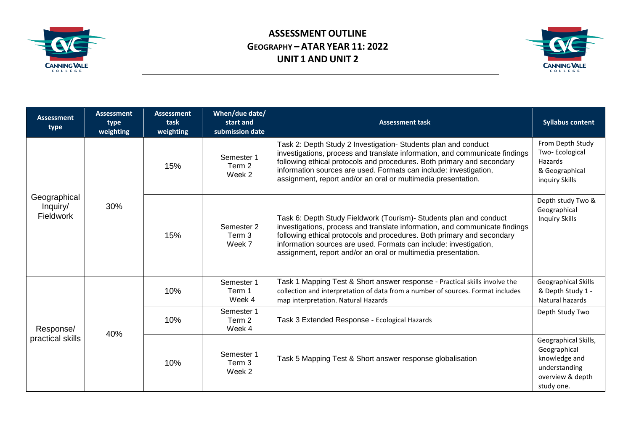

## **ASSESSMENT OUTLINE GEOGRAPHY – ATAR YEAR 11: 2022 UNIT 1 AND UNIT 2**



| <b>Assessment</b><br>type                    | <b>Assessment</b><br>type<br>weighting | <b>Assessment</b><br>task<br>weighting | When/due date/<br>start and<br>submission date | <b>Assessment task</b>                                                                                                                                                                                                                                                                                                                                            | <b>Syllabus content</b>                                                                                  |
|----------------------------------------------|----------------------------------------|----------------------------------------|------------------------------------------------|-------------------------------------------------------------------------------------------------------------------------------------------------------------------------------------------------------------------------------------------------------------------------------------------------------------------------------------------------------------------|----------------------------------------------------------------------------------------------------------|
| Geographical<br>Inquiry/<br><b>Fieldwork</b> | 30%                                    | 15%                                    | Semester 1<br>Term 2<br>Week 2                 | Task 2: Depth Study 2 Investigation- Students plan and conduct<br>investigations, process and translate information, and communicate findings<br>following ethical protocols and procedures. Both primary and secondary<br>information sources are used. Formats can include: investigation,<br>assignment, report and/or an oral or multimedia presentation.     | From Depth Study<br>Two-Ecological<br>Hazards<br>& Geographical<br>inquiry Skills                        |
|                                              |                                        | 15%                                    | Semester 2<br>Term 3<br>Week 7                 | Task 6: Depth Study Fieldwork (Tourism)- Students plan and conduct<br>investigations, process and translate information, and communicate findings<br>following ethical protocols and procedures. Both primary and secondary<br>information sources are used. Formats can include: investigation,<br>assignment, report and/or an oral or multimedia presentation. | Depth study Two &<br>Geographical<br><b>Inquiry Skills</b>                                               |
| Response/<br>practical skills                | 40%                                    | 10%                                    | Semester 1<br>Term 1<br>Week 4                 | Task 1 Mapping Test & Short answer response - Practical skills involve the<br>collection and interpretation of data from a number of sources. Format includes<br>map interpretation. Natural Hazards                                                                                                                                                              | Geographical Skills<br>& Depth Study 1 -<br>Natural hazards                                              |
|                                              |                                        | 10%                                    | Semester 1<br>Term 2<br>Week 4                 | Task 3 Extended Response - Ecological Hazards                                                                                                                                                                                                                                                                                                                     | Depth Study Two                                                                                          |
|                                              |                                        | 10%                                    | Semester 1<br>Term 3<br>Week 2                 | Task 5 Mapping Test & Short answer response globalisation                                                                                                                                                                                                                                                                                                         | Geographical Skills,<br>Geographical<br>knowledge and<br>understanding<br>overview & depth<br>study one. |